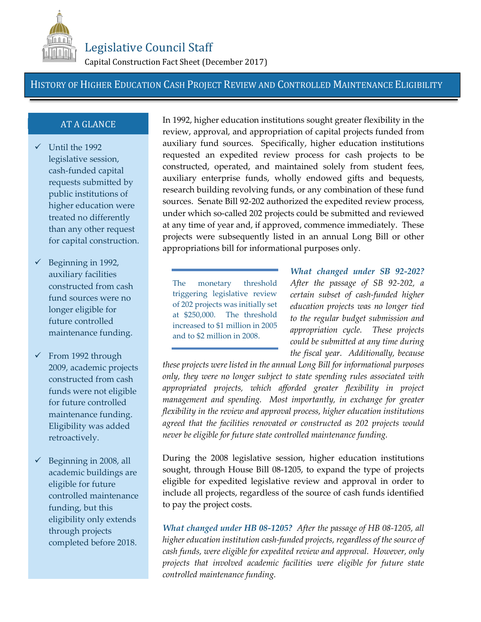

## Legislative Council Staff

Capital Construction Fact Sheet (December 2017)

## HISTORY OF HIGHER EDUCATION CASH PROJECT REVIEW AND CONTROLLED MAINTENANCE ELIGIBILITY

## AT A GLANCE

- $\checkmark$  Until the 1992 legislative session, cash-funded capital requests submitted by public institutions of higher education were treated no differently than any other request for capital construction.
- $\checkmark$  Beginning in 1992, auxiliary facilities constructed from cash fund sources were no longer eligible for future controlled maintenance funding.
- $\checkmark$  From 1992 through 2009, academic projects constructed from cash funds were not eligible for future controlled maintenance funding. Eligibility was added retroactively.
- $\checkmark$  Beginning in 2008, all academic buildings are eligible for future controlled maintenance funding, but this eligibility only extends through projects completed before 2018.

In 1992, higher education institutions sought greater flexibility in the review, approval, and appropriation of capital projects funded from auxiliary fund sources. Specifically, higher education institutions requested an expedited review process for cash projects to be constructed, operated, and maintained solely from student fees, auxiliary enterprise funds, wholly endowed gifts and bequests, research building revolving funds, or any combination of these fund sources. Senate Bill 92-202 authorized the expedited review process, under which so-called 202 projects could be submitted and reviewed at any time of year and, if approved, commence immediately. These projects were subsequently listed in an annual Long Bill or other appropriations bill for informational purposes only.

The monetary threshold triggering legislative review of 202 projects was initially set at \$250,000. The threshold increased to \$1 million in 2005 and to \$2 million in 2008.

*What changed under SB 92-202? After the passage of SB 92-202, a certain subset of cash-funded higher education projects was no longer tied to the regular budget submission and appropriation cycle. These projects could be submitted at any time during the fiscal year. Additionally, because*

*these projects were listed in the annual Long Bill for informational purposes only, they were no longer subject to state spending rules associated with appropriated projects, which afforded greater flexibility in project management and spending. Most importantly, in exchange for greater flexibility in the review and approval process, higher education institutions agreed that the facilities renovated or constructed as 202 projects would never be eligible for future state controlled maintenance funding.*

During the 2008 legislative session, higher education institutions sought, through House Bill 08-1205, to expand the type of projects eligible for expedited legislative review and approval in order to include all projects, regardless of the source of cash funds identified to pay the project costs.

*What changed under HB 08-1205? After the passage of HB 08-1205, all higher education institution cash-funded projects, regardless of the source of cash funds, were eligible for expedited review and approval. However, only projects that involved academic facilities were eligible for future state controlled maintenance funding.*